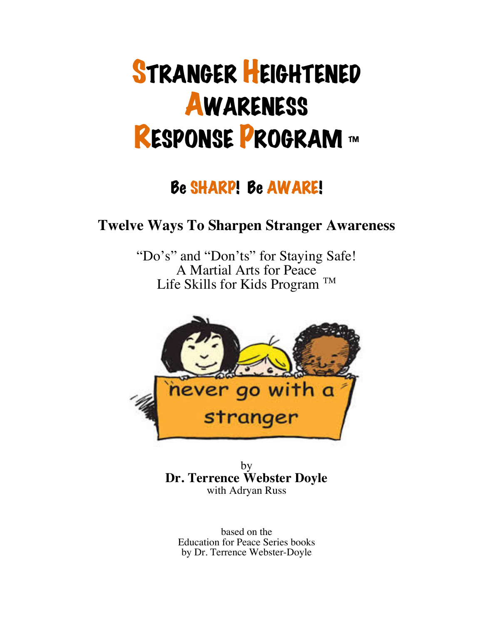# STRANGER HEIGHTENED **AWARENESS** RESPONSE PROGRAM ™

# Be SHARP! Be AWARE!

## **Twelve Ways To Sharpen Stranger Awareness**

"Do's" and "Don'ts" for Staying Safe! A Martial Arts for Peace Life Skills for Kids Program<sup>TM</sup>



by **Dr. Terrence Webster Doyle** with Adryan Russ

based on the Education for Peace Series books by Dr. Terrence Webster-Doyle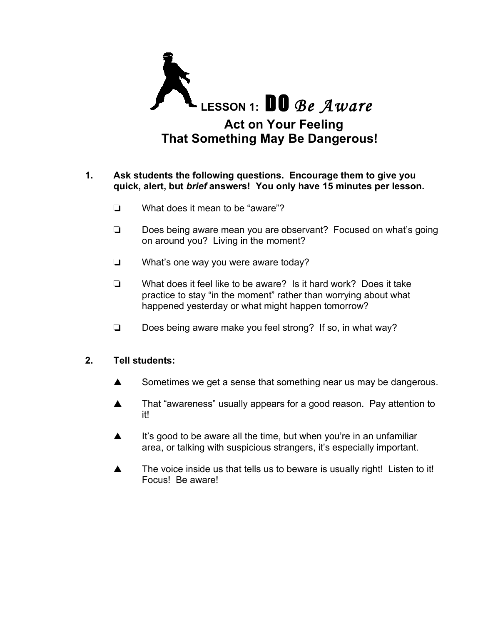

#### **1. Ask students the following questions. Encourage them to give you quick, alert, but** *brief* **answers! You only have 15 minutes per lesson.**

- ❏ What does it mean to be "aware"?
- ❏ Does being aware mean you are observant? Focused on what's going on around you? Living in the moment?
- ❏ What's one way you were aware today?
- ❏ What does it feel like to be aware? Is it hard work? Does it take practice to stay "in the moment" rather than worrying about what happened yesterday or what might happen tomorrow?
- ❏ Does being aware make you feel strong? If so, in what way?

#### **2. Tell students:**

- ▲ Sometimes we get a sense that something near us may be dangerous.
- ▲ That "awareness" usually appears for a good reason. Pay attention to it!
- ▲ It's good to be aware all the time, but when you're in an unfamiliar area, or talking with suspicious strangers, it's especially important.
- ▲ The voice inside us that tells us to beware is usually right! Listen to it! Focus! Be aware!